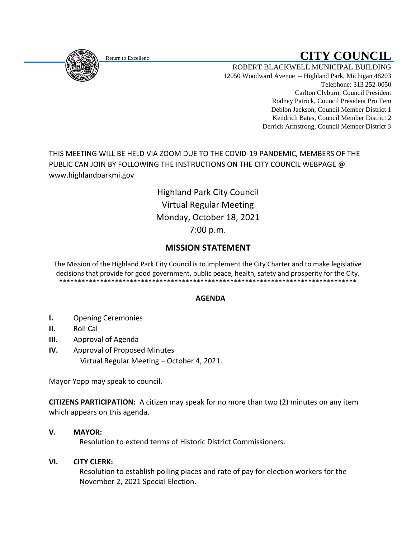<span id="page-0-0"></span>

# Return to Excellenc **CITY COUNCIL**

ROBERT BLACKWELL MUNICIPAL BUILDING 12050 Woodward Avenue – Highland Park, Michigan 48203 Telephone: 313 252-0050 Carlton Clyburn, Council President Rodney Patrick, Council President Pro Tem Deblon Jackson, Council Member District 1 Kendrich Bates, Council Member District 2 Derrick Armstrong, Council Member District 3

THIS MEETING WILL BE HELD VIA ZOOM DUE TO THE COVID-19 PANDEMIC, MEMBERS OF THE PUBLIC CAN JOIN BY FOLLOWING THE INSTRUCTIONS ON THE CITY COUNCIL WEBPAGE @ www.highlandparkmi.gov

> Highland Park City Council Virtual Regular Meeting Monday, October 18, 2021 7:00 p.m.

## **MISSION STATEMENT**

The Mission of the Highland Park City Council is to implement the City Charter and to make legislative decisions that provide for good government, public peace, health, safety and prosperity for the City. \*\*\*\*\*\*\*\*\*\*\*\*\*\*\*\*\*\*\*\*\*\*\*\*\*\*\*\*\*\*\*\*\*\*\*\*\*\*\*\*\*\*\*\*\*\*\*\*\*\*\*\*\*\*\*\*\*\*\*\*\*\*\*\*\*\*\*\*\*\*\*\*\*\*\*\*\*\*\*\*

## **AGENDA**

- **I.** Opening Ceremonies
- **II.** Roll Cal
- **III.** Approval of Agenda
- **IV.** Approval of Proposed Minutes Virtual Regular Meeting – October 4, 2021.

Mayor Yopp may speak to council.

**CITIZENS PARTICIPATION:** A citizen may speak for no more than two (2) minutes on any item which appears on this agenda.

## **V. MAYOR:**

Resolution to extend terms of Historic District Commissioners.

## **VI. CITY CLERK:**

 Resolution to establish polling places and rate of pay for election workers for the November 2, 2021 Special Election.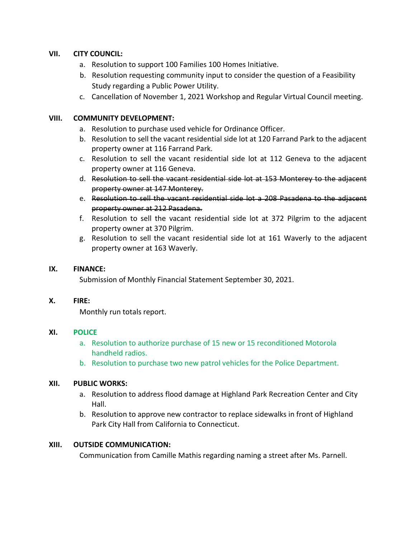### **VII. CITY COUNCIL:**

- a. Resolution to support 100 Families 100 Homes Initiative.
- b. Resolution requesting community input to consider the question of a Feasibility Study regarding a Public Power Utility.
- c. Cancellation of November 1, 2021 Workshop and Regular Virtual Council meeting.

#### **VIII. COMMUNITY DEVELOPMENT:**

- a. Resolution to purchase used vehicle for Ordinance Officer.
- b. Resolution to sell the vacant residential side lot at 120 Farrand Park to the adjacent property owner at 116 Farrand Park.
- c. Resolution to sell the vacant residential side lot at 112 Geneva to the adjacent property owner at 116 Geneva.
- d. Resolution to sell the vacant residential side lot at 153 Monterey to the adjacent property owner at 147 Monterey.
- e. Resolution to sell the vacant residential side lot a 208 Pasadena to the adjacent property owner at 212 Pasadena.
- f. Resolution to sell the vacant residential side lot at 372 Pilgrim to the adjacent property owner at 370 Pilgrim.
- g. Resolution to sell the vacant residential side lot at 161 Waverly to the adjacent property owner at 163 Waverly.

#### **IX. FINANCE:**

Submission of Monthly Financial Statement September 30, 2021.

#### **X. FIRE:**

Monthly run totals report.

#### **XI. POLICE**

- a. Resolution to authorize purchase of 15 new or 15 reconditioned Motorola handheld radios.
- b. Resolution to purchase two new patrol vehicles for the Police Department.

#### **XII. PUBLIC WORKS:**

- a. Resolution to address flood damage at Highland Park Recreation Center and City Hall.
- b. Resolution to approve new contractor to replace sidewalks in front of Highland Park City Hall from California to Connecticut.

#### **XIII. OUTSIDE COMMUNICATION:**

Communication from Camille Mathis regarding naming a street after Ms. Parnell.